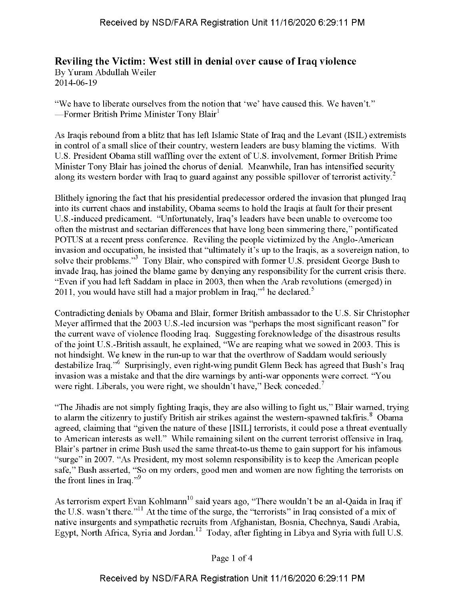## **Reviling the Victim: West still in denial over cause ofIraq violence**

By Yuram Abdullah Weiler 2014-06-19

"We have to liberate ourselves from the notion that 'we' have caused this. We haven't." —Former British Prime Minister Tony Blair<sup>1</sup>

As Iraqis rebound from a blitz that has left Islamic State of Iraq and the Levant (ISIL) extremists in control of a small slice of their country, western leaders are busy blaming the victims. With U.S. President Obama still waffling over the extent of U.S. involvement, former British Prime Minister Tony Blair has joined the chorus of denial. Meanwhile, Iran has intensified security along its western border with Iraq to guard against any possible spillover of terrorist activity.<sup>2</sup>

Blithely ignoring the fact that his presidential predecessor ordered the invasion that plunged Iraq into its current chaos and instability, Obama seems to hold the Iraqis at fault for their present U.S.-induced predicament. "Unfortunately, Iraq's leaders have been unable to overcome too often the mistrust and sectarian differences that have long been simmering there," pontificated POTUS at a recent press conference. Reviling the people victimized by the Anglo-American invasion and occupation, he insisted that "ultimately it's up to the Iraqis, as a sovereign nation, to solve their problems."<sup>3</sup> Tony Blair, who conspired with former U.S. president George Bush to invade Iraq, has joined the blame game by denying any responsibility for the current crisis there. "Even if you had left Saddam in place in 2003, then when the Arab revolutions (emerged) in 2011, you would have still had a major problem in Iraq,"<sup>4</sup> he declared.<sup>5</sup>

Contradicting denials by Obama and Blair, former British ambassador to the U.S. Sir Christopher Meyer affirmed that the 2003 U.S.-led incursion was "perhaps the most significant reason" for the current wave of violence flooding Iraq. Suggesting foreknowledge of the disastrous results ofthe joint U.S.-British assault, he explained, "We are reaping what we sowed in 2003. This is not hindsight. We knew in the run-up to war that the overthrow of Saddam would seriously destabilize Iraq."6 Surprisingly, even right-wing pundit Glenn Beck has agreed that Bush's Iraq invasion was a mistake and that the dire warnings by anti-war opponents were correct. "You were right. Liberals, you were right, we shouldn't have," Beck conceded.<sup>7</sup>

"The Jihadis are not simply fighting Iraqis, they are also willing to fight us," Blair warned, trying to alarm the citizenry to justify British air strikes against the western-spawned takfiris.<sup>8</sup> Obama agreed, claiming that "given the nature of these [ISIL] terrorists, it could pose a threat eventually to American interests as well." While remaining silent on the current terrorist offensive in Iraq, Blair's partner in crime Bush used the same threat-to-us theme to gain support for his infamous "surge" in 2007. "As President, my most solemn responsibility is to keep the American people safe," Bush asserted, "So on my orders, good men and women are now fighting the terrorists on the front lines in Iraq."<sup>9</sup>

As terrorism expert Evan Kohlmann<sup>10</sup> said years ago, "There wouldn't be an al-Qaida in Iraq if the U.S. wasn't there."<sup>11</sup> At the time of the surge, the "terrorists" in Iraq consisted of a mix of native insurgents and sympathetic recruits from Afghanistan, Bosnia, Chechnya, Saudi Arabia, Egypt, North Africa, Syria and Jordan.<sup>12</sup> Today, after fighting in Libya and Syria with full U.S.

## Page <sup>1</sup> of 4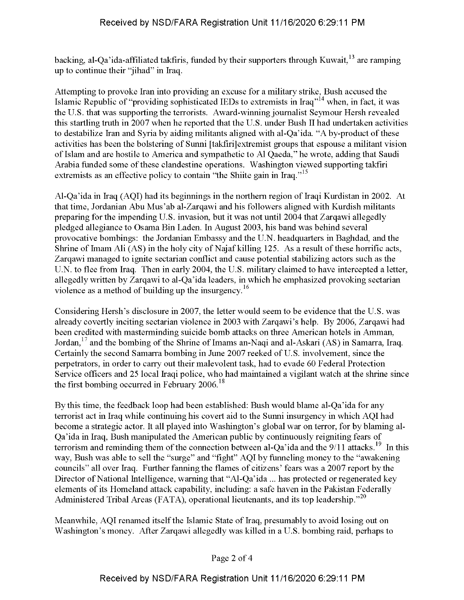backing, al-Qa'ida-affiliated takfiris, funded by their supporters through Kuwait,  $^{13}$  are ramping up to continue their "jihad" in Iraq.

Attempting to provoke Iran into providing an excuse for a military strike, Bush accused the Islamic Republic of "providing sophisticated IEDs to extremists in Iraq"<sup>14</sup> when, in fact, it was the U.S. that was supporting the terrorists. Award-winning journalist Seymour Hersh revealed this startling truth in 2007 when he reported that the U.S. under Bush II had undertaken activities to destabilize Iran and Syria by aiding militants aligned with al-Qa'ida. "A by-product of these activities has been the bolstering of Sunni [takfirijextremist groups that espouse a militant vision of Islam and are hostile to America and sympathetic to Al Qaeda," he wrote, adding that Saudi Arabia funded some of these clandestine operations. Washington viewed supporting takfiri extremists as an effective policy to contain "the Shiite gain in Iraq."<sup>15</sup>

Al-Qa'ida in Iraq (AQI) had its beginnings in the northern region of Iraqi Kurdistan in 2002. At that time, Jordanian Abu Mus'ab al-Zarqawi and his followers aligned with Kurdish militants preparing for the impending U.S. invasion, but it was not until 2004 that Zarqawi allegedly pledged allegiance to Osama Bin Laden. In August 2003, his band was behind several provocative bombings: the Jordanian Embassy and the U.N. headquarters in Baghdad, and the Shrine of Imam Ali  $(AS)$  in the holy city of Najaf killing 125. As a result of these horrific acts, Zarqawi managed to ignite sectarian conflict and cause potential stabilizing actors such as the U.N. to flee from Iraq. Then in early 2004, the U.S. military claimed to have intercepted a letter, allegedly written by Zarqawi to al-Qa'ida leaders, in which he emphasized provoking sectarian violence as a method of building up the insurgency.<sup>16</sup>

Considering Hersh's disclosure in 2007, the letter would seem to be evidence that the U.S. was already covertly inciting sectarian violence in 2003 with Zarqawi's help. By 2006, Zarqawi had been credited with masterminding suicide bomb attacks on three American hotels in Amman, Jordan,  $^{17}$  and the bombing of the Shrine of Imams an-Naqi and al-Askari (AS) in Samarra, Iraq. Certainly the second Samarra bombing in June 2007 reeked of U.S. involvement, since the perpetrators, in order to carry out their malevolent task, had to evade 60 Federal Protection Service officers and 25 local Iraqi police, who had maintained a vigilant watch at the shrine since the first bombing occurred in February  $2006$ .<sup>18</sup>

By this time, the feedback loop had been established: Bush would blame al-Qa'ida for any terrorist act in Iraq while continuing his covert aid to the Sunni insurgency in which AQI had become a strategic actor. It all played into Washington's global war on terror, for by blaming al-Qa'ida in Iraq, Bush manipulated the American public by continuously reigniting fears of terrorism and reminding them of the connection between al-Qa'ida and the  $9/11$  attacks.<sup>19</sup> In this way, Bush was able to sell the "surge" and "fight" AQI by funneling money to the "awakening councils" all over Iraq. Further fanning the flames of citizens' fears was a 2007 report by the Director of National Intelligence, warning that "Al-Qa'ida ... has protected or regenerated key elements of its Homeland attack capability, including: a safe haven in the Pakistan Federally Administered Tribal Areas (FATA), operational lieutenants, and its top leadership."<sup>20</sup>

Meanwhile, AQI renamed itself the Islamic State of Iraq, presumably to avoid losing out on Washington's money. After Zarqawi allegedly was killed in a U.S. bombing raid, perhaps to

Page 2 of 4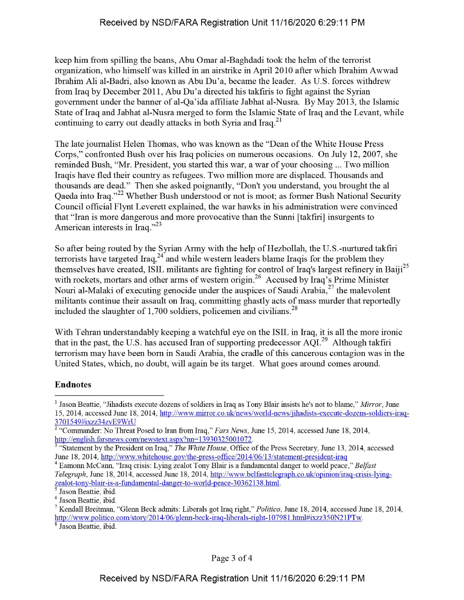keep him from spilling the beans, Abu Omar al-Baghdadi took the helm of the terrorist organization, who himselfwas killed in an airstrike in April 2010 after which Ibrahim Awwad Ibrahim Ali al-Badri, also known as Abu Du'a, became the leader. As U.S. forces withdrew from Iraq by December 2011, Abu Du'a directed his takfiris to fight against the Syrian government under the banner of al-Qa'ida affiliate Jabhat al-Nusra. By May 2013, the Islamic State of Iraq and Jabhat al-Nusra merged to form the Islamic State of Iraq and the Levant, while continuing to carry out deadly attacks in both Syria and Iraq.<sup>21</sup>

The late journalist Helen Thomas, who was known as the "Dean ofthe White House Press Corps," confronted Bush over his Iraq policies on numerous occasions. On July 12, 2007, she reminded Bush, "Mr. President, you started this war, a war of your choosing ... Two million Iraqis have fled their country as refugees. Two million more are displaced. Thousands and thousands are dead." Then she asked poignantly, "Don't you understand, you brought the al Qaeda into Iraq."<sup>22</sup> Whether Bush understood or not is moot; as former Bush National Security Council official Flynt Leverett explained, the war hawks in his administration were convinced that "Iran is more dangerous and more provocative than the Sunni [takfiri] insurgents to American interests in Iraq." $^{23}$ 

So after being routed by the Syrian Army with the help of Hezbollah, the U.S.-nurtured takfiri terrorists have targeted Iraq,<sup>24</sup> and while western leaders blame Iraqis for the problem they themselves have created, ISIL militants are fighting for control of Iraq's largest refinery in Baiji<sup>25</sup> with rockets, mortars and other arms of western origin.<sup>26</sup> Accused by Iraq's Prime Minister Nouri al-Malaki of executing genocide under the auspices of Saudi Arabia, $^{27}$  the malevolent militants continue their assault on Iraq, committing ghastly acts of mass murder that reportedly included the slaughter of  $1,700$  soldiers, policemen and civilians.<sup>28</sup>

With Tehran understandably keeping a watchful eye on the ISIL in Iraq, it is all the more ironic that in the past, the U.S. has accused Iran of supporting predecessor  $A\overline{Q}I^{29}$  Although takfiri terrorism may have been born in Saudi Arabia, the cradle of this cancerous contagion was in the United States, which, no doubt, will again be its target. What goes around comes around.

## **Endnotes**

<sup>&</sup>lt;sup>1</sup> Jason Beattie, "Jihadists execute dozens of soldiers in Iraq as Tony Blair insists he's not to blame," *Mirror*, June 15, 2014, accessed June 18, 2014, http://www.mirror.co.uk/news/world-news/iihadists-execute-dozens-soldiers-iraq-3701549#ixzz34zvE9WrU

<sup>2</sup> "Commander: No Threat Posed to Iran from Iraq," *Fars News,* June 15, 2014, accessed June 18, 2014, http://english.farsnews.com/newstext.aspx?nn=13930325001072.

<sup>3</sup> "Statement by the President on Iraq," *The White House,* Office ofthe Press Secretary, June 13, 2014, accessed June 18, 2014, http://www.whitehouse.gov/the-press-office/2014/06/13/statement-president-iraq

<sup>4</sup> Eamonn McCann, "Iraq crisis: Lying zealot Tony Blair is a fundamental danger to world peace," *Belfast Telegraph*, June 18, 2014, accessed June 18, 2014, http://www.belfasttelegraph.co.uk/opinion/iraq-crisis-lyingzealot-tonv-blair-is-a-fundamental-danger-to-world-peace-30362138.html.

<sup>5</sup> Jason Beattie, ibid.

<sup>6</sup> Jason Beattie, ibid.

*<sup>1</sup>* Kendall Breitman, "Glenn Beck admits: Liberals got Iraq right," *Politico,* June 18, 2014, accessed June 18, 2014, http://www.politico.eom/storv/2014/06/glenn-beck-iraq-liberals-right-107981.html#ixzz350N21PTw. <sup>8</sup> Jason Beattie, ibid.